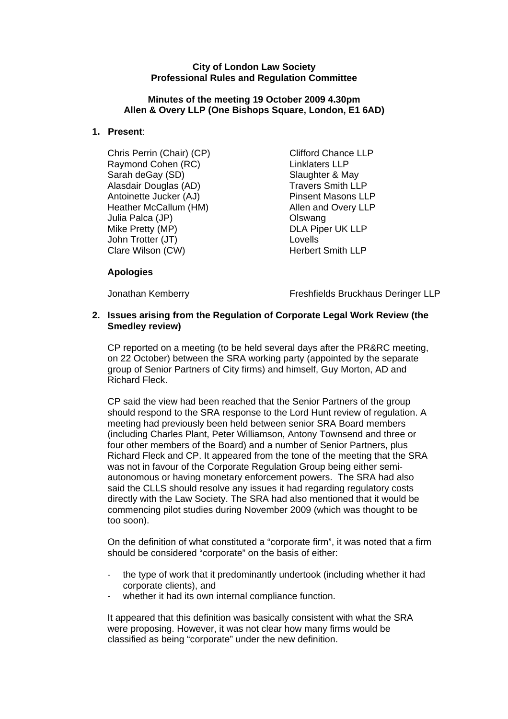### **City of London Law Society Professional Rules and Regulation Committee**

### **Minutes of the meeting 19 October 2009 4.30pm Allen & Overy LLP (One Bishops Square, London, E1 6AD)**

## **1. Present**:

Chris Perrin (Chair) (CP) Clifford Chance LLP Raymond Cohen (RC) **Raymond Cohen** (RC) **Raymond Cohen** (RC) Sarah deGay (SD) Slaughter & May Alasdair Douglas (AD) Travers Smith LLP Antoinette Jucker (AJ) Pinsent Masons LLP Heather McCallum (HM) Allen and Overy LLP Julia Palca (JP) Olswang Mike Pretty (MP) DLA Piper UK LLP John Trotter (JT)<br>Clare Wilson (CW) Clare Herbert Smith LLP Clare Wilson (CW)

## **Apologies**

Jonathan Kemberry Freshfields Bruckhaus Deringer LLP

### **2. Issues arising from the Regulation of Corporate Legal Work Review (the Smedley review)**

CP reported on a meeting (to be held several days after the PR&RC meeting, on 22 October) between the SRA working party (appointed by the separate group of Senior Partners of City firms) and himself, Guy Morton, AD and Richard Fleck.

CP said the view had been reached that the Senior Partners of the group should respond to the SRA response to the Lord Hunt review of regulation. A meeting had previously been held between senior SRA Board members (including Charles Plant, Peter Williamson, Antony Townsend and three or four other members of the Board) and a number of Senior Partners, plus Richard Fleck and CP. It appeared from the tone of the meeting that the SRA was not in favour of the Corporate Regulation Group being either semiautonomous or having monetary enforcement powers. The SRA had also said the CLLS should resolve any issues it had regarding regulatory costs directly with the Law Society. The SRA had also mentioned that it would be commencing pilot studies during November 2009 (which was thought to be too soon).

On the definition of what constituted a "corporate firm", it was noted that a firm should be considered "corporate" on the basis of either:

- the type of work that it predominantly undertook (including whether it had corporate clients), and
- whether it had its own internal compliance function.

It appeared that this definition was basically consistent with what the SRA were proposing. However, it was not clear how many firms would be classified as being "corporate" under the new definition.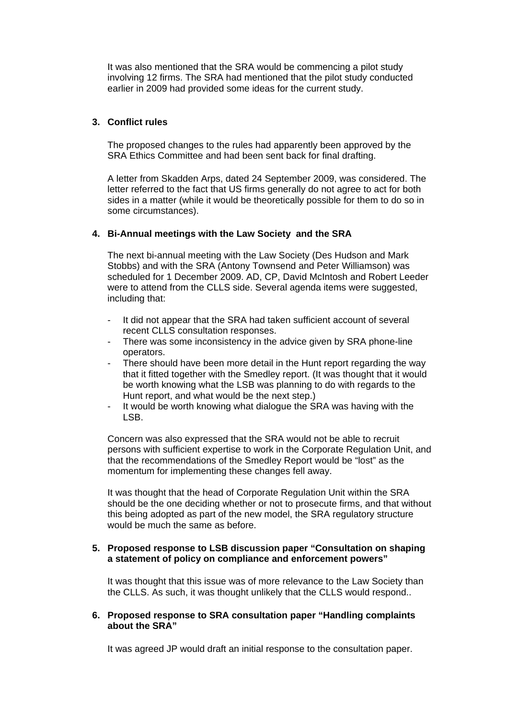It was also mentioned that the SRA would be commencing a pilot study involving 12 firms. The SRA had mentioned that the pilot study conducted earlier in 2009 had provided some ideas for the current study.

## **3. Conflict rules**

The proposed changes to the rules had apparently been approved by the SRA Ethics Committee and had been sent back for final drafting.

A letter from Skadden Arps, dated 24 September 2009, was considered. The letter referred to the fact that US firms generally do not agree to act for both sides in a matter (while it would be theoretically possible for them to do so in some circumstances).

### **4. Bi-Annual meetings with the Law Society and the SRA**

The next bi-annual meeting with the Law Society (Des Hudson and Mark Stobbs) and with the SRA (Antony Townsend and Peter Williamson) was scheduled for 1 December 2009. AD, CP, David McIntosh and Robert Leeder were to attend from the CLLS side. Several agenda items were suggested, including that:

- It did not appear that the SRA had taken sufficient account of several recent CLLS consultation responses.
- There was some inconsistency in the advice given by SRA phone-line operators.
- There should have been more detail in the Hunt report regarding the way that it fitted together with the Smedley report. (It was thought that it would be worth knowing what the LSB was planning to do with regards to the Hunt report, and what would be the next step.)
- It would be worth knowing what dialogue the SRA was having with the LSB.

Concern was also expressed that the SRA would not be able to recruit persons with sufficient expertise to work in the Corporate Regulation Unit, and that the recommendations of the Smedley Report would be "lost" as the momentum for implementing these changes fell away.

It was thought that the head of Corporate Regulation Unit within the SRA should be the one deciding whether or not to prosecute firms, and that without this being adopted as part of the new model, the SRA regulatory structure would be much the same as before.

### **5. Proposed response to LSB discussion paper "Consultation on shaping a statement of policy on compliance and enforcement powers"**

It was thought that this issue was of more relevance to the Law Society than the CLLS. As such, it was thought unlikely that the CLLS would respond..

#### **6. Proposed response to SRA consultation paper "Handling complaints about the SRA"**

It was agreed JP would draft an initial response to the consultation paper.